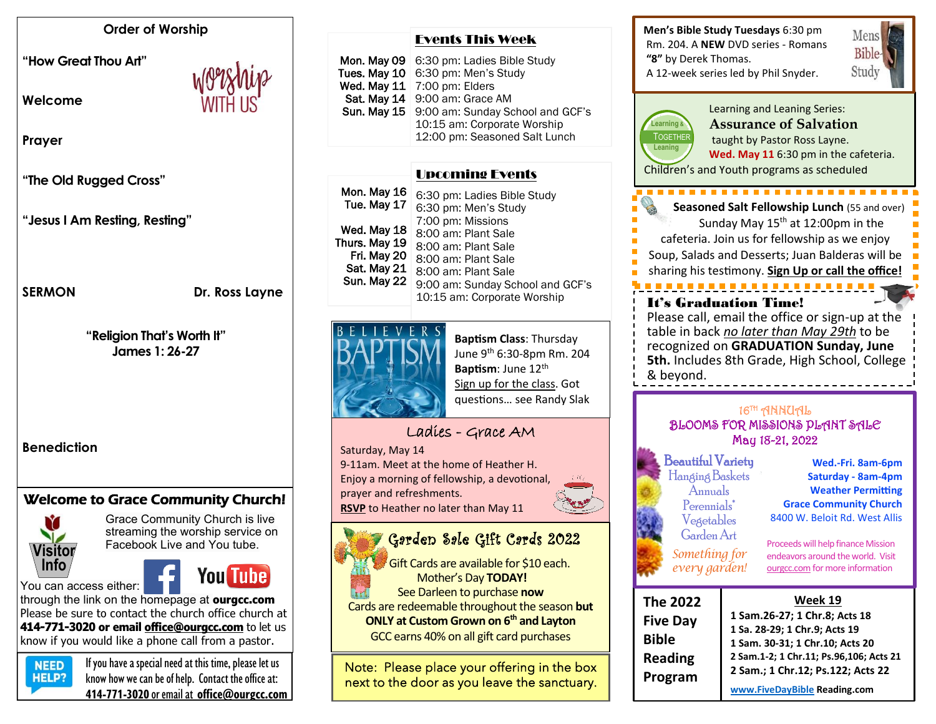#### **Order of Worship**

**"How Great Thou Art"** 

**Welcome** 



**Prayer**

**"The Old Rugged Cross"**

**"Jesus I Am Resting, Resting"**

#### **SERMON** Dr. Ross Layne

**"Religion That's Worth It" James 1: 26-27**

**Benediction**

## Welcome to Grace Community Church!



Grace Community Church is live streaming the worship service on Facebook Live and You tube.

You can access either:



through the link on the homepage at **ourgcc.com**  Please be sure to contact the church office church at **414-771-3020 or email [office@ourgcc.com](mailto:office@ourgcc.com)** to let us know if you would like a phone call from a pastor.



 $N<sub>EED</sub>$  If you have a special need at this time, please let us **HELP?** know how we can be of help. Contact the office at: **414-771-3020** or email at **[office@ourgcc.com](mailto:office@ourgcc.com)**

|  | <b>Events This Week</b> |  |  |
|--|-------------------------|--|--|
|--|-------------------------|--|--|

| Mon. May 09 | 6:30 pm: Ladies Bible Study                                     |
|-------------|-----------------------------------------------------------------|
|             | Tues. May $10$ 6:30 pm: Men's Study                             |
| Wed. May 11 | 7:00 pm: Elders                                                 |
| Sat. May 14 | 9:00 am: Grace AM                                               |
| Sun. May 15 | 9:00 am: Sunday School and GCF's<br>10:15 am: Corporate Worship |
|             | 12:00 pm: Seasoned Salt Lunch                                   |

### Upcoming Events

| Mon. May 16<br>Tue. May 17<br>Wed. May 18<br>Thurs. May 19<br>Fri. May 20<br>Sat. May 21<br>Sun. May 22 | 6:30 pm: Ladies Bible Study<br>6:30 pm: Men's Study<br>7:00 pm: Missions<br>8:00 am: Plant Sale<br>8:00 am: Plant Sale<br>8:00 am: Plant Sale<br>8:00 am: Plant Sale<br>9:00 am: Sunday School and GCF's<br>10:15 am: Corporate Worship |
|---------------------------------------------------------------------------------------------------------|-----------------------------------------------------------------------------------------------------------------------------------------------------------------------------------------------------------------------------------------|
|                                                                                                         |                                                                                                                                                                                                                                         |



**Baptism Class**: Thursday June 9th 6:30-8pm Rm. 204 **Baptism**: June 12<sup>th</sup> Sign up for the class. Got questions… see Randy Slak

# Ladies - Grace AM

Saturday, May 14

9-11am. Meet at the home of Heather H. Enjoy a morning of fellowship, a devotional, prayer and refreshments. **RSVP** to Heather no later than May 11

#### Garden Sale Gift Cards 2022 i.

 Gift Cards are available for \$10 each. Mother's Day **TODAY!** See Darleen to purchase **now** Cards are redeemable throughout the season **but**

**ONLY at Custom Grown on 6th and Layton** GCC earns 40% on all gift card purchases

Note: Please place your offering in the box next to the door as you leave the sanctuary. ī

**Men's Bible Study Tuesdays** 6:30 pm Rm. 204. A **NEW** DVD series - Romans **"8"** by Derek Thomas. A 12-week series led by Phil Snyder.





Children's and Youth programs as scheduled Learning and Leaning Series: **Assurance of Salvation** taught by Pastor Ross Layne. **Wed. May 11** 6:30 pm in the cafeteria.

 **Seasoned Salt Fellowship Lunch** (55 and over) Sunday May  $15<sup>th</sup>$  at 12:00pm in the cafeteria. Join us for fellowship as we enjoy Soup, Salads and Desserts; Juan Balderas will be sharing his testimony. **Sign Up or call the office!** . . . . . . . . . . . . . . . . It's Graduation Time! Please call, email the office or sign-up at the

table in back *no later than May 29th* to be recognized on **GRADUATION Sunday, June 5th.** Includes 8th Grade, High School, College & beyond.

#### 16TH ANNUAL BLOOMS FOR MISSIONS PLANT SALE May 18-21, 2022

Beautiful Variety Hanging Baskets Annuals Perennials<sup>\*</sup> Vegetables GardenArt *Something for*

*every garden!*

ĺ

 **Wed.-Fri. 8am-6pm Saturday - 8am-4pm Weather Permitting Grace Community Church** 8400 W. Beloit Rd. West Allis

Proceeds will help finance Mission endeavors around the world. Visit ourgcc.com for more information

| <b>The 2022</b> | Week 19                                 |
|-----------------|-----------------------------------------|
| <b>Five Day</b> | 1 Sam.26-27; 1 Chr.8; Acts 18           |
| <b>Bible</b>    | 1 Sa. 28-29; 1 Chr.9; Acts 19           |
|                 | 1 Sam. 30-31; 1 Chr.10; Acts 20         |
| <b>Reading</b>  | 2 Sam.1-2; 1 Chr.11; Ps.96,106; Acts 21 |
|                 | 2 Sam.; 1 Chr.12; Ps.122; Acts 22       |
| Program         | www.FiveDayBible Reading.com            |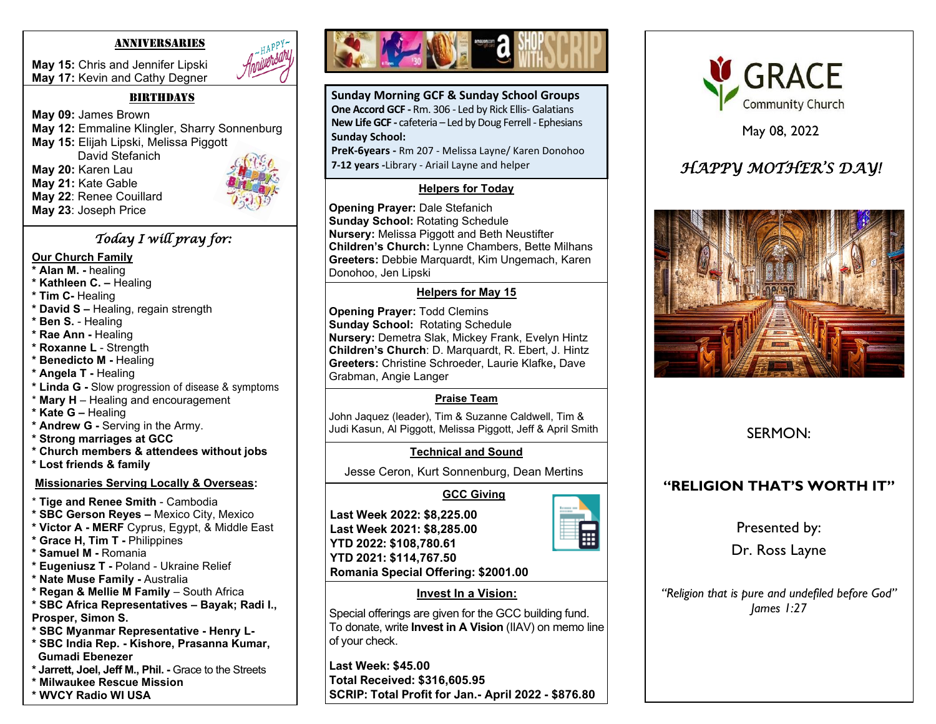#### ANNIVERSARIES

**May 15:** Chris and Jennifer Lipski **May 17:** Kevin and Cathy Degner



#### $BIRTHDAYS$

**May 09:** James Brown **May 12:** Emmaline Klingler, Sharry Sonnenburg **May 15:** Elijah Lipski, Melissa Piggott David Stefanich **May 20:** Karen Lau **May 21:** Kate Gable **May 22**: Renee Couillard **May 23**: Joseph Price

### *Today I will pray for:*

#### **Our Church Family**

- **\* Alan M. -** healing
- **\* Kathleen C. –** Healing
- **\* Tim C-** Healing
- **\* David S –** Healing, regain strength
- **\* Ben S.** Healing
- **\* Rae Ann -** Healing
- **\* Roxanne L**  Strength
- **\* Benedicto M -** Healing
- **\* Angela T -** Healing
- **\* Linda G -** Slow progression of disease & symptoms
- \* **Mary H**  Healing and encouragement
- **\* Kate G –** Healing
- **\* Andrew G -** Serving in the Army.
- **\* Strong marriages at GCC**
- **\* Church members & attendees without jobs**
- **\* Lost friends & family**

### **Missionaries Serving Locally & Overseas:**

- \* **Tige and Renee Smith** Cambodia
- **\* SBC Gerson Reyes –** Mexico City, Mexico
- **\* Victor A - MERF** Cyprus, Egypt, & Middle East
- **\* Grace H, Tim T -** Philippines
- **\* Samuel M -** Romania
- **\* Eugeniusz T -** Poland Ukraine Relief
- **\* Nate Muse Family -** Australia
- **\* Regan & Mellie M Family**  South Africa
- **\* SBC Africa Representatives – Bayak; Radi I.,**
- **Prosper, Simon S.**
- **\* SBC Myanmar Representative - Henry L-**
- **\* SBC India Rep. - Kishore, Prasanna Kumar, Gumadi Ebenezer**
- **\* Jarrett, Joel, Jeff M., Phil. -** Grace to the Streets
- **\* Milwaukee Rescue Mission**





**Sunday Morning GCF & Sunday School Groups One Accord GCF -** Rm. 306 - Led by Rick Ellis- Galatians **New Life GCF -** cafeteria – Led by Doug Ferrell - Ephesians **Sunday School:**

**PreK-6years -** Rm 207 - Melissa Layne/ Karen Donohoo **7-12 years -**Library - Ariail Layne and helper

## **Helpers for Today**

**Opening Prayer:** Dale Stefanich **Sunday School:** Rotating Schedule **Nursery:** Melissa Piggott and Beth Neustifter **Children's Church:** Lynne Chambers, Bette Milhans **Greeters:** Debbie Marquardt, Kim Ungemach, Karen Donohoo, Jen Lipski

## **Helpers for May 15**

 Grabman, Angie Langer **Opening Prayer:** Todd Clemins **Sunday School:** Rotating Schedule **Nursery:** Demetra Slak, Mickey Frank, Evelyn Hintz **Children's Church**: D. Marquardt, R. Ebert, J. Hintz **Greeters:** Christine Schroeder, Laurie Klafke**,** Dave

## **Praise Team**

John Jaquez (leader), Tim & Suzanne Caldwell, Tim & Judi Kasun, Al Piggott, Melissa Piggott, Jeff & April Smith

## **Technical and Sound**

Jesse Ceron, Kurt Sonnenburg, Dean Mertins

# **GCC Giving**

**Last Week 2022: \$8,225.00 Last Week 2021: \$8,285.00 YTD 2022: \$108,780.61 YTD 2021: \$114,767.50 Romania Special Offering: \$2001.00**





May 08, 2022

# *HAPPY MOTHER'S DAY!*



# SERMON:

# **"RELIGION THAT'S WORTH IT"**

Presented by:

Dr. Ross Layne

*"Religion that is pure and undefiled before God" James 1:27*



Special offerings are given for the GCC building fund. To donate, write **Invest in A Vision** (IIAV) on memo line of your check.

**Last Week: \$45.00 Total Received: \$316,605.95 SCRIP: Total Profit for Jan.- April 2022 - \$876.80 Total Profit for Jan. - Dec. 2021: \$3,280.42**